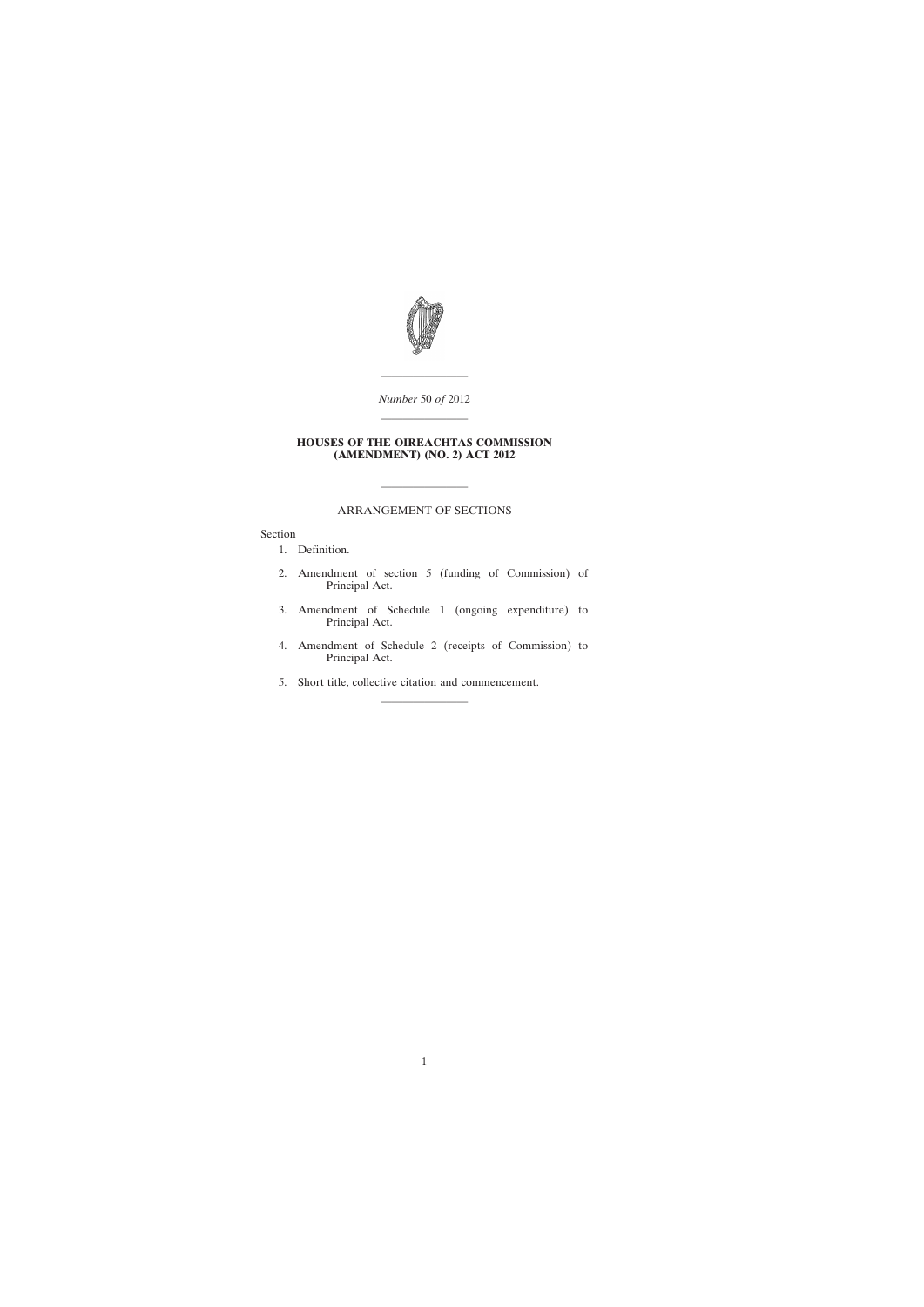

———————— *Number* 50 *of* 2012

————————

### **HOUSES OF THE OIREACHTAS COMMISSION (AMENDMENT) (NO. 2) ACT 2012**

## ARRANGEMENT OF SECTIONS

————————

Section

[1. Definition.](#page-2-0)

- [2. Amendment of section 5 \(funding of Commission\) of](#page-2-0) Principal Act.
- [3. Amendment of Schedule 1 \(ongoing expenditure\) to](#page-2-0) Principal Act.
- [4. Amendment of Schedule 2 \(receipts of Commission\) to](#page-4-0) Principal Act.
- [5. Short title, collective citation and commencement.](#page-4-0)

————————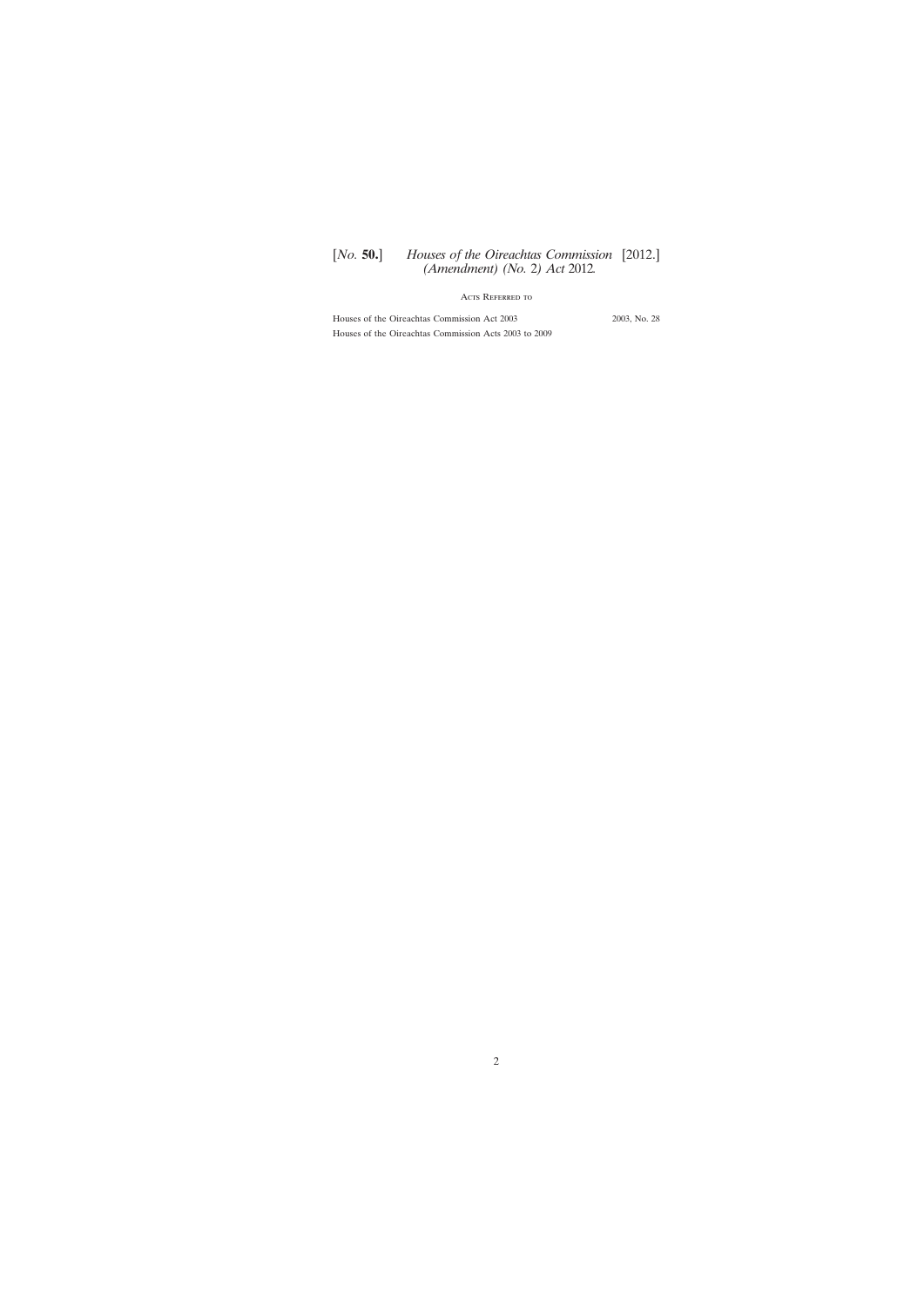# [*No.* **50.**] *Houses of the Oireachtas Commission* [2012.] *(Amendment) (No.* 2*) Act* 2012*.*

# Acts Referred to

Houses of the Oireachtas Commission Act 2003 2003, No. 28 Houses of the Oireachtas Commission Acts 2003 to 2009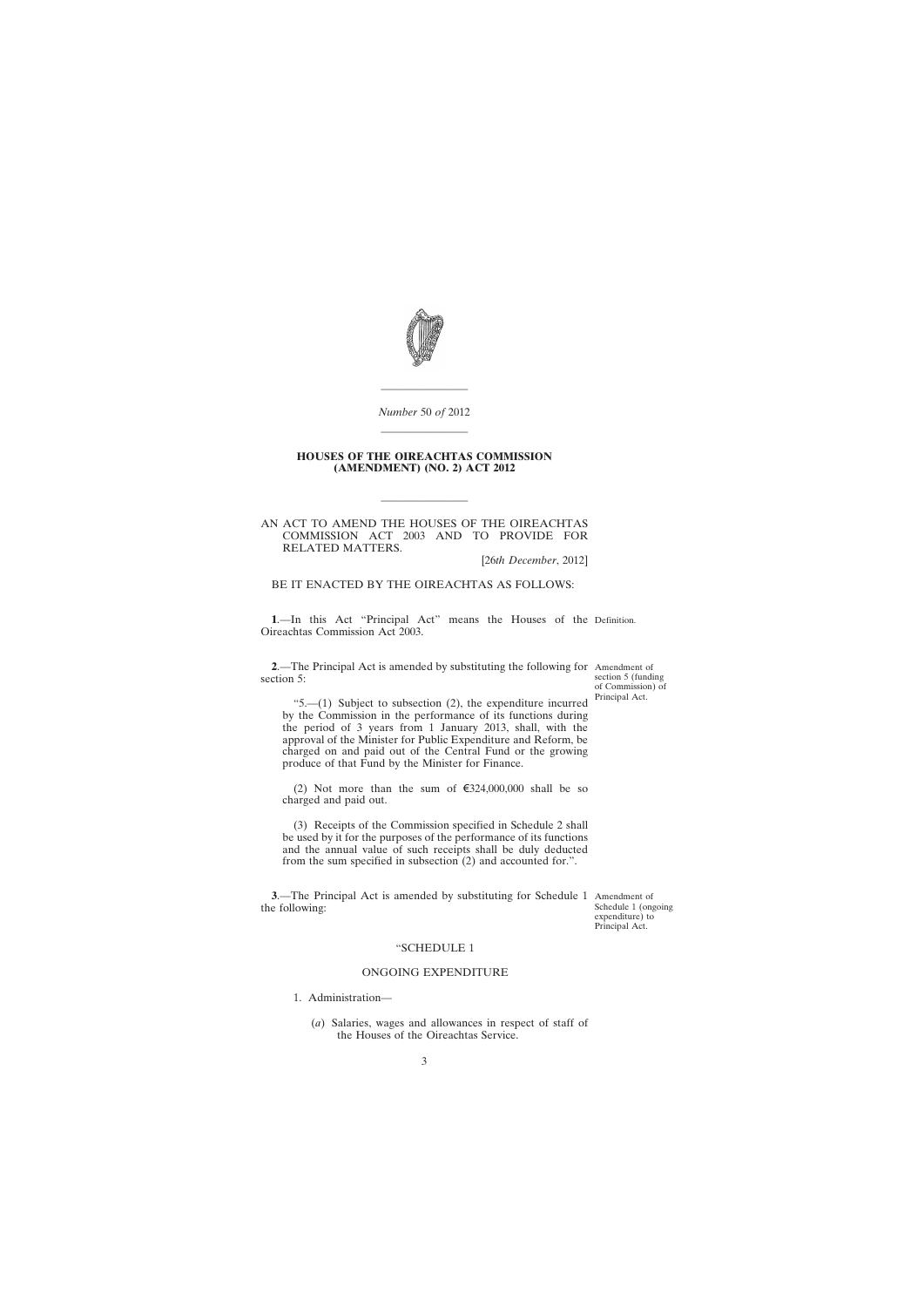<span id="page-2-0"></span>

# *Number* 50 *of* 2012 ————————

————————

#### **HOUSES OF THE OIREACHTAS COMMISSION (AMENDMENT) (NO. 2) ACT 2012**

#### AN ACT TO AMEND THE HOUSES OF THE OIREACHTAS COMMISSION ACT 2003 AND TO PROVIDE FOR RELATED MATTERS.

————————

[26*th December*, 2012]

# BE IT ENACTED BY THE OIREACHTAS AS FOLLOWS:

**1**.—In this Act "Principal Act" means the Houses of the Definition. Oireachtas Commission Act 2003.

**2**.—The Principal Act is amended by substituting the following for Amendment of section 5:

section 5 (funding of Commission) of Principal Act.

"5.— $(1)$  Subject to subsection  $(2)$ , the expenditure incurred by the Commission in the performance of its functions during the period of 3 years from 1 January 2013, shall, with the approval of the Minister for Public Expenditure and Reform, be charged on and paid out of the Central Fund or the growing produce of that Fund by the Minister for Finance.

(2) Not more than the sum of  $\epsilon$ 324,000,000 shall be so charged and paid out.

(3) Receipts of the Commission specified in Schedule 2 shall be used by it for the purposes of the performance of its functions and the annual value of such receipts shall be duly deducted from the sum specified in subsection (2) and accounted for.".

**3**.—The Principal Act is amended by substituting for Schedule 1 Amendment of the following:

Schedule 1 (ongoing expenditure) to Principal Act.

#### "SCHEDULE 1

#### ONGOING EXPENDITURE

1. Administration—

(*a*) Salaries, wages and allowances in respect of staff of the Houses of the Oireachtas Service.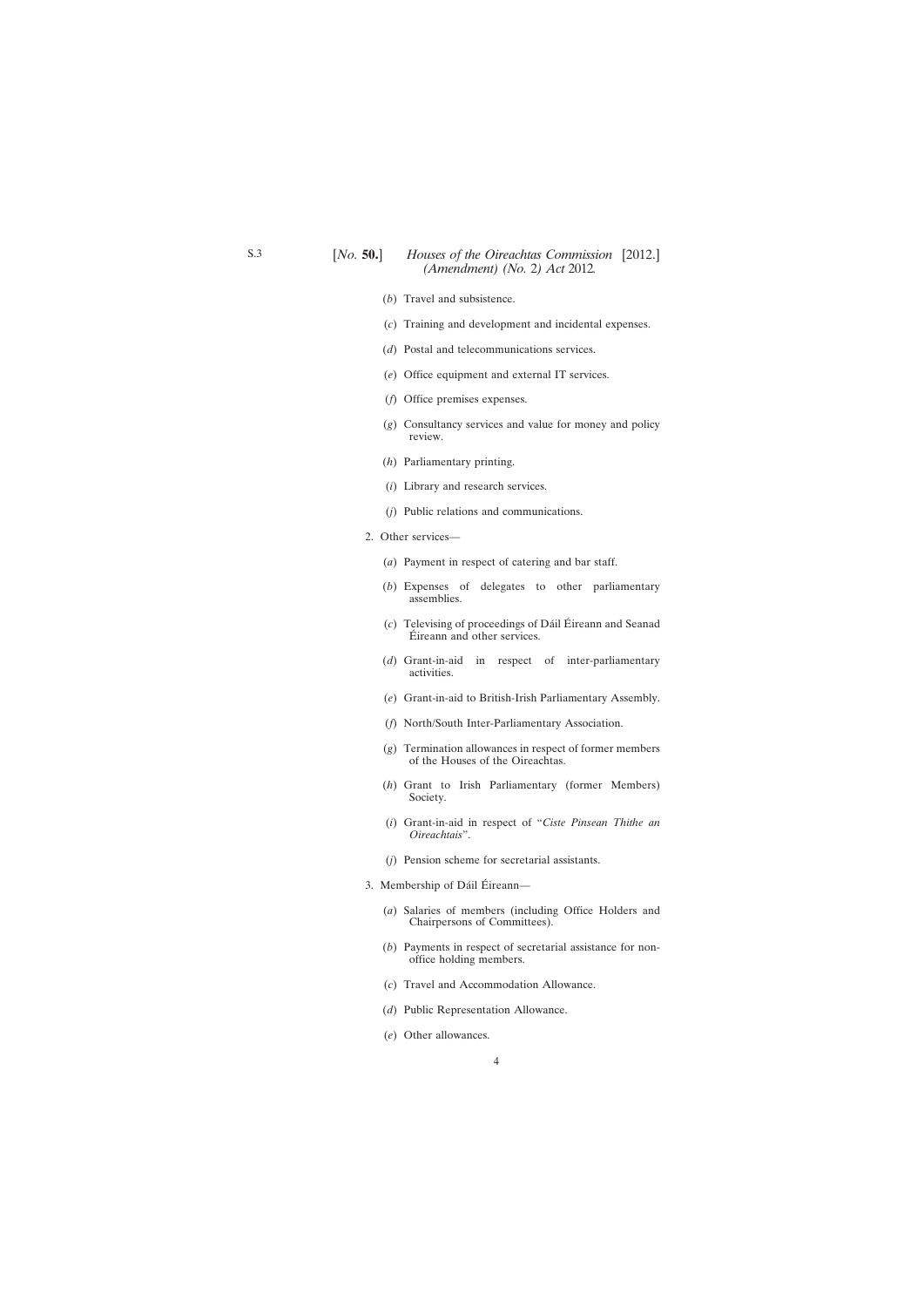## [*No.* **50.**] *Houses of the Oireachtas Commission* [2012.] *(Amendment) (No.* 2*) Act* 2012*.*

- (*b*) Travel and subsistence.
- (*c*) Training and development and incidental expenses.
- (*d*) Postal and telecommunications services.
- (*e*) Office equipment and external IT services.
- (*f*) Office premises expenses.
- (*g*) Consultancy services and value for money and policy review.
- (*h*) Parliamentary printing.
- (*i*) Library and research services.
- (*j*) Public relations and communications.
- 2. Other services—
	- (*a*) Payment in respect of catering and bar staff.
	- (*b*) Expenses of delegates to other parliamentary assemblies.
	- (*c*) Televising of proceedings of Dáil Éireann and Seanad Éireann and other services.
	- (*d*) Grant-in-aid in respect of inter-parliamentary activities.
	- (*e*) Grant-in-aid to British-Irish Parliamentary Assembly.
	- (*f*) North/South Inter-Parliamentary Association.
	- (*g*) Termination allowances in respect of former members of the Houses of the Oireachtas.
	- (*h*) Grant to Irish Parliamentary (former Members) Society.
	- (*i*) Grant-in-aid in respect of "*Ciste Pinsean Thithe an Oireachtais*".
	- (*j*) Pension scheme for secretarial assistants.
- 3. Membership of Dáil Éireann—
	- (*a*) Salaries of members (including Office Holders and Chairpersons of Committees).
	- (*b*) Payments in respect of secretarial assistance for nonoffice holding members.
	- (*c*) Travel and Accommodation Allowance.
	- (*d*) Public Representation Allowance.
	- (*e*) Other allowances.